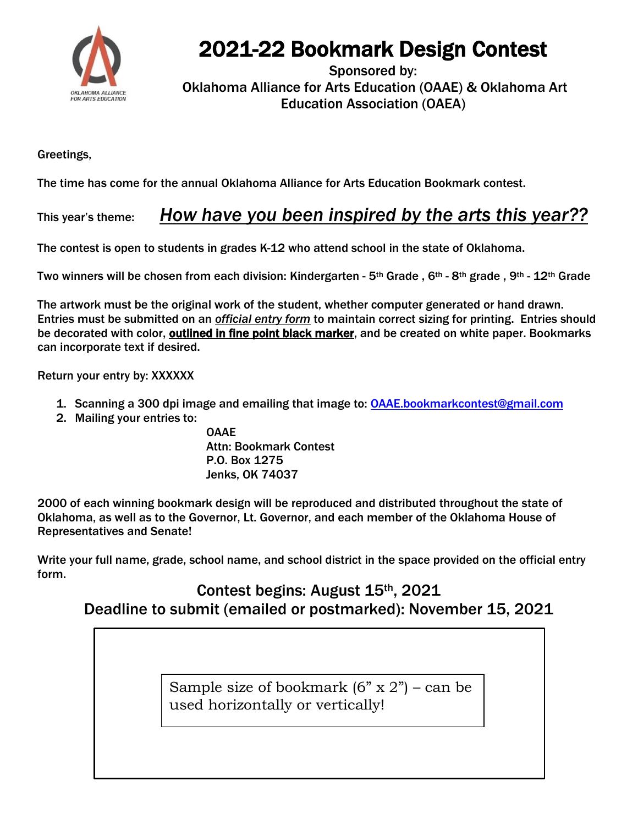

## 2021-22 Bookmark Design Contest

Sponsored by: Oklahoma Alliance for Arts Education (OAAE) & Oklahoma Art Education Association (OAEA)

Greetings,

The time has come for the annual Oklahoma Alliance for Arts Education Bookmark contest.

## This year's theme: *How have you been inspired by the arts this year??*

The contest is open to students in grades K-12 who attend school in the state of Oklahoma.

Two winners will be chosen from each division: Kindergarten - 5th Grade , 6th - 8th grade , 9th - 12th Grade

The artwork must be the original work of the student, whether computer generated or hand drawn. Entries must be submitted on an *official entry form* to maintain correct sizing for printing. Entries should be decorated with color, outlined in fine point black marker, and be created on white paper. Bookmarks can incorporate text if desired.

Return your entry by: XXXXXX

- 1. Scanning a 300 dpi image and emailing that image to: [OAAE.bookmarkcontest@gmail.com](mailto:OAAE.bookmarkcontest@gmail.com)
- 2. Mailing your entries to:

OAAE Attn: Bookmark Contest P.O. Box 1275 Jenks, OK 74037

2000 of each winning bookmark design will be reproduced and distributed throughout the state of Oklahoma, as well as to the Governor, Lt. Governor, and each member of the Oklahoma House of Representatives and Senate!

Write your full name, grade, school name, and school district in the space provided on the official entry form.

## Contest begins: August 15th, 2021 Deadline to submit (emailed or postmarked): November 15, 2021

Sample size of bookmark  $(6" \times 2")$  – can be used horizontally or vertically!